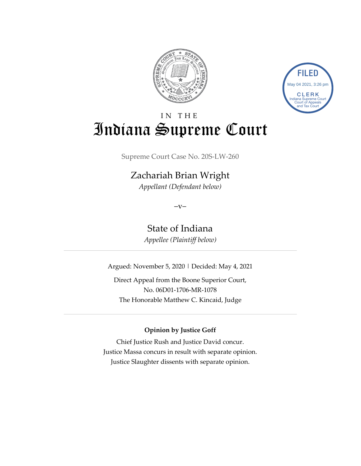



# IN THE Indiana Supreme Court

Supreme Court Case No. 20S-LW-260

## Zachariah Brian Wright

*Appellant (Defendant below)*

 $-V$ 

State of Indiana *Appellee (Plaintiff below)*

Argued: November 5, 2020 | Decided: May 4, 2021

Direct Appeal from the Boone Superior Court, No. 06D01-1706-MR-1078 The Honorable Matthew C. Kincaid, Judge

#### **Opinion by Justice Goff**

Chief Justice Rush and Justice David concur. Justice Massa concurs in result with separate opinion. Justice Slaughter dissents with separate opinion.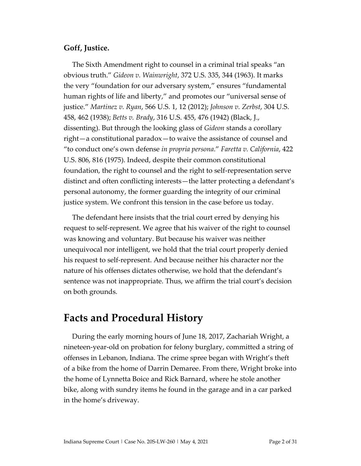#### **Goff, Justice.**

The Sixth Amendment right to counsel in a criminal trial speaks "an obvious truth." *Gideon v. Wainwright*, 372 U.S. 335, 344 (1963). It marks the very "foundation for our adversary system," ensures "fundamental human rights of life and liberty," and promotes our "universal sense of justice." *Martinez v. Ryan*, 566 U.S. 1, 12 (2012); *Johnson v. Zerbst*, 304 U.S. 458, 462 (1938); *Betts v. Brady*, 316 U.S. 455, 476 (1942) (Black, J., dissenting). But through the looking glass of *Gideon* stands a corollary right—a constitutional paradox—to waive the assistance of counsel and "to conduct one's own defense *in propria persona*." *Faretta v. California*, 422 U.S. 806, 816 (1975). Indeed, despite their common constitutional foundation, the right to counsel and the right to self-representation serve distinct and often conflicting interests—the latter protecting a defendant's personal autonomy, the former guarding the integrity of our criminal justice system. We confront this tension in the case before us today.

The defendant here insists that the trial court erred by denying his request to self-represent. We agree that his waiver of the right to counsel was knowing and voluntary. But because his waiver was neither unequivocal nor intelligent, we hold that the trial court properly denied his request to self-represent. And because neither his character nor the nature of his offenses dictates otherwise, we hold that the defendant's sentence was not inappropriate. Thus, we affirm the trial court's decision on both grounds.

## **Facts and Procedural History**

During the early morning hours of June 18, 2017, Zachariah Wright, a nineteen-year-old on probation for felony burglary, committed a string of offenses in Lebanon, Indiana. The crime spree began with Wright's theft of a bike from the home of Darrin Demaree. From there, Wright broke into the home of Lynnetta Boice and Rick Barnard, where he stole another bike, along with sundry items he found in the garage and in a car parked in the home's driveway.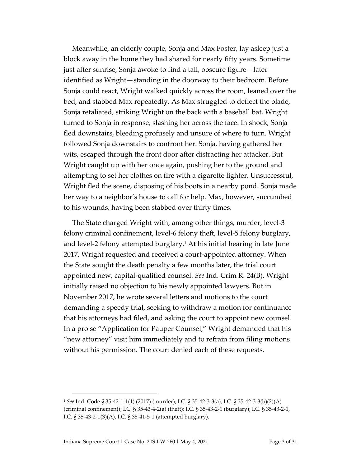Meanwhile, an elderly couple, Sonja and Max Foster, lay asleep just a block away in the home they had shared for nearly fifty years. Sometime just after sunrise, Sonja awoke to find a tall, obscure figure—later identified as Wright—standing in the doorway to their bedroom. Before Sonja could react, Wright walked quickly across the room, leaned over the bed, and stabbed Max repeatedly. As Max struggled to deflect the blade, Sonja retaliated, striking Wright on the back with a baseball bat. Wright turned to Sonja in response, slashing her across the face. In shock, Sonja fled downstairs, bleeding profusely and unsure of where to turn. Wright followed Sonja downstairs to confront her. Sonja, having gathered her wits, escaped through the front door after distracting her attacker. But Wright caught up with her once again, pushing her to the ground and attempting to set her clothes on fire with a cigarette lighter. Unsuccessful, Wright fled the scene, disposing of his boots in a nearby pond. Sonja made her way to a neighbor's house to call for help. Max, however, succumbed to his wounds, having been stabbed over thirty times.

The State charged Wright with, among other things, murder, level-3 felony criminal confinement, level-6 felony theft, level-5 felony burglary, and level-2 felony attempted burglary.<sup>1</sup> At his initial hearing in late June 2017, Wright requested and received a court-appointed attorney. When the State sought the death penalty a few months later, the trial court appointed new, capital-qualified counsel. *See* Ind. Crim R. 24(B). Wright initially raised no objection to his newly appointed lawyers. But in November 2017, he wrote several letters and motions to the court demanding a speedy trial, seeking to withdraw a motion for continuance that his attorneys had filed, and asking the court to appoint new counsel. In a pro se "Application for Pauper Counsel," Wright demanded that his "new attorney" visit him immediately and to refrain from filing motions without his permission. The court denied each of these requests.

<sup>1</sup> *See* Ind. Code § 35-42-1-1(1) (2017) (murder); I.C. § 35-42-3-3(a), I.C. § 35-42-3-3(b)(2)(A) (criminal confinement); I.C. § 35-43-4-2(a) (theft); I.C. § 35-43-2-1 (burglary); I.C. § 35-43-2-1, I.C. § 35-43-2-1(3)(A), I.C. § 35-41-5-1 (attempted burglary).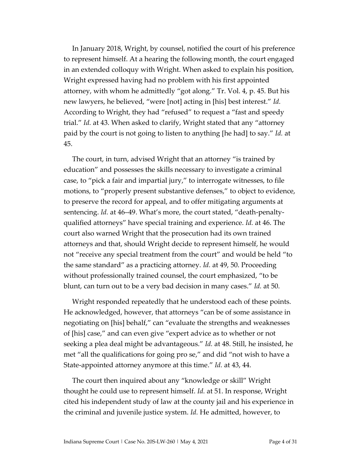In January 2018, Wright, by counsel, notified the court of his preference to represent himself. At a hearing the following month, the court engaged in an extended colloquy with Wright. When asked to explain his position, Wright expressed having had no problem with his first appointed attorney, with whom he admittedly "got along." Tr. Vol. 4, p. 45. But his new lawyers, he believed, "were [not] acting in [his] best interest." *Id.* According to Wright, they had "refused" to request a "fast and speedy trial." *Id.* at 43. When asked to clarify, Wright stated that any "attorney paid by the court is not going to listen to anything [he had] to say." *Id.* at 45.

The court, in turn, advised Wright that an attorney "is trained by education" and possesses the skills necessary to investigate a criminal case, to "pick a fair and impartial jury," to interrogate witnesses, to file motions, to "properly present substantive defenses," to object to evidence, to preserve the record for appeal, and to offer mitigating arguments at sentencing. *Id.* at 46–49. What's more, the court stated, "death-penaltyqualified attorneys" have special training and experience. *Id.* at 46. The court also warned Wright that the prosecution had its own trained attorneys and that, should Wright decide to represent himself, he would not "receive any special treatment from the court" and would be held "to the same standard" as a practicing attorney. *Id.* at 49, 50. Proceeding without professionally trained counsel, the court emphasized, "to be blunt, can turn out to be a very bad decision in many cases." *Id.* at 50.

Wright responded repeatedly that he understood each of these points. He acknowledged, however, that attorneys "can be of some assistance in negotiating on [his] behalf," can "evaluate the strengths and weaknesses of [his] case," and can even give "expert advice as to whether or not seeking a plea deal might be advantageous." *Id.* at 48. Still, he insisted, he met "all the qualifications for going pro se," and did "not wish to have a State-appointed attorney anymore at this time." *Id.* at 43, 44.

The court then inquired about any "knowledge or skill" Wright thought he could use to represent himself. *Id.* at 51. In response, Wright cited his independent study of law at the county jail and his experience in the criminal and juvenile justice system. *Id.* He admitted, however, to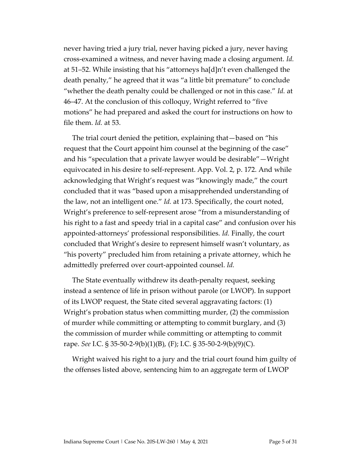never having tried a jury trial, never having picked a jury, never having cross-examined a witness, and never having made a closing argument. *Id.* at 51–52. While insisting that his "attorneys ha[d]n't even challenged the death penalty," he agreed that it was "a little bit premature" to conclude "whether the death penalty could be challenged or not in this case." *Id.* at 46–47. At the conclusion of this colloquy, Wright referred to "five motions" he had prepared and asked the court for instructions on how to file them. *Id.* at 53.

The trial court denied the petition, explaining that—based on "his request that the Court appoint him counsel at the beginning of the case" and his "speculation that a private lawyer would be desirable"—Wright equivocated in his desire to self-represent. App. Vol. 2, p. 172. And while acknowledging that Wright's request was "knowingly made," the court concluded that it was "based upon a misapprehended understanding of the law, not an intelligent one." *Id.* at 173. Specifically, the court noted, Wright's preference to self-represent arose "from a misunderstanding of his right to a fast and speedy trial in a capital case" and confusion over his appointed-attorneys' professional responsibilities. *Id.* Finally, the court concluded that Wright's desire to represent himself wasn't voluntary, as "his poverty" precluded him from retaining a private attorney, which he admittedly preferred over court-appointed counsel. *Id.*

The State eventually withdrew its death-penalty request, seeking instead a sentence of life in prison without parole (or LWOP). In support of its LWOP request, the State cited several aggravating factors: (1) Wright's probation status when committing murder, (2) the commission of murder while committing or attempting to commit burglary, and (3) the commission of murder while committing or attempting to commit rape. *See* I.C. § 35-50-2-9(b)(1)(B), (F); I.C. § 35-50-2-9(b)(9)(C).

Wright waived his right to a jury and the trial court found him guilty of the offenses listed above, sentencing him to an aggregate term of LWOP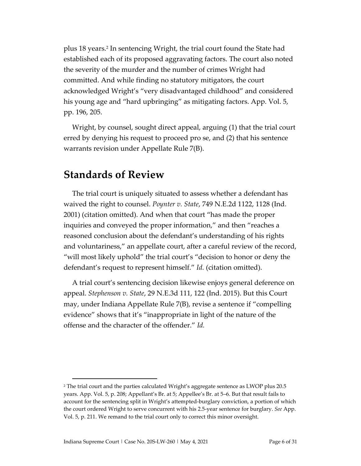plus 18 years. 2 In sentencing Wright, the trial court found the State had established each of its proposed aggravating factors. The court also noted the severity of the murder and the number of crimes Wright had committed. And while finding no statutory mitigators, the court acknowledged Wright's "very disadvantaged childhood" and considered his young age and "hard upbringing" as mitigating factors. App. Vol. 5, pp. 196, 205.

Wright, by counsel, sought direct appeal, arguing (1) that the trial court erred by denying his request to proceed pro se, and (2) that his sentence warrants revision under Appellate Rule 7(B).

### **Standards of Review**

The trial court is uniquely situated to assess whether a defendant has waived the right to counsel. *Poynter v. State*, 749 N.E.2d 1122, 1128 (Ind. 2001) (citation omitted). And when that court "has made the proper inquiries and conveyed the proper information," and then "reaches a reasoned conclusion about the defendant's understanding of his rights and voluntariness," an appellate court, after a careful review of the record, "will most likely uphold" the trial court's "decision to honor or deny the defendant's request to represent himself." *Id.* (citation omitted).

A trial court's sentencing decision likewise enjoys general deference on appeal. *Stephenson v. State*, 29 N.E.3d 111, 122 (Ind. 2015). But this Court may, under Indiana Appellate Rule 7(B), revise a sentence if "compelling evidence" shows that it's "inappropriate in light of the nature of the offense and the character of the offender." *Id.*

<sup>2</sup> The trial court and the parties calculated Wright's aggregate sentence as LWOP plus 20.5 years. App. Vol. 5, p. 208; Appellant's Br. at 5; Appellee's Br. at 5–6. But that result fails to account for the sentencing split in Wright's attempted-burglary conviction, a portion of which the court ordered Wright to serve concurrent with his 2.5-year sentence for burglary. *See* App. Vol. 5, p. 211. We remand to the trial court only to correct this minor oversight.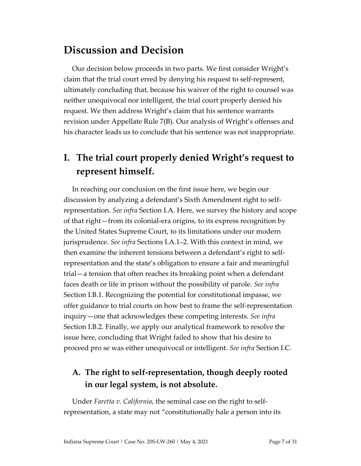## **Discussion and Decision**

Our decision below proceeds in two parts. We first consider Wright's claim that the trial court erred by denying his request to self-represent, ultimately concluding that, because his waiver of the right to counsel was neither unequivocal nor intelligent, the trial court properly denied his request. We then address Wright's claim that his sentence warrants revision under Appellate Rule 7(B). Our analysis of Wright's offenses and his character leads us to conclude that his sentence was not inappropriate.

## **I. The trial court properly denied Wright's request to represent himself.**

In reaching our conclusion on the first issue here, we begin our discussion by analyzing a defendant's Sixth Amendment right to selfrepresentation. *See infra* Section I.A. Here, we survey the history and scope of that right—from its colonial-era origins, to its express recognition by the United States Supreme Court, to its limitations under our modern jurisprudence. *See infra* Sections I.A.1–2. With this context in mind, we then examine the inherent tensions between a defendant's right to selfrepresentation and the state's obligation to ensure a fair and meaningful trial—a tension that often reaches its breaking point when a defendant faces death or life in prison without the possibility of parole. *See infra* Section I.B.1. Recognizing the potential for constitutional impasse, we offer guidance to trial courts on how best to frame the self-representation inquiry—one that acknowledges these competing interests. *See infra* Section I.B.2. Finally, we apply our analytical framework to resolve the issue here, concluding that Wright failed to show that his desire to proceed pro se was either unequivocal or intelligent. *See infra* Section I.C.

### **A. The right to self-representation, though deeply rooted in our legal system, is not absolute.**

Under *Faretta v. California*, the seminal case on the right to selfrepresentation, a state may not "constitutionally hale a person into its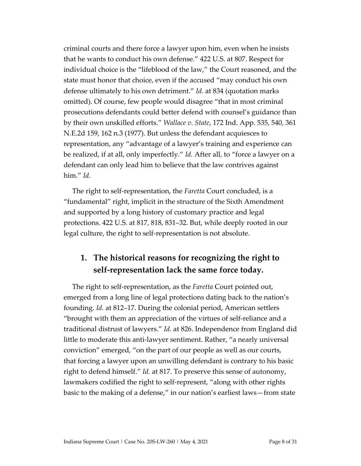criminal courts and there force a lawyer upon him, even when he insists that he wants to conduct his own defense." 422 U.S. at 807. Respect for individual choice is the "lifeblood of the law," the Court reasoned, and the state must honor that choice, even if the accused "may conduct his own defense ultimately to his own detriment." *Id.* at 834 (quotation marks omitted). Of course, few people would disagree "that in most criminal prosecutions defendants could better defend with counsel's guidance than by their own unskilled efforts." *Wallace v. State*, 172 Ind. App. 535, 540, 361 N.E.2d 159, 162 n.3 (1977). But unless the defendant acquiesces to representation, any "advantage of a lawyer's training and experience can be realized, if at all, only imperfectly." *Id.* After all, to "force a lawyer on a defendant can only lead him to believe that the law contrives against him." *Id*.

The right to self-representation, the *Faretta* Court concluded, is a "fundamental" right, implicit in the structure of the Sixth Amendment and supported by a long history of customary practice and legal protections. 422 U.S. at 817, 818, 831–32. But, while deeply rooted in our legal culture, the right to self-representation is not absolute.

### **1. The historical reasons for recognizing the right to self-representation lack the same force today.**

The right to self-representation, as the *Faretta* Court pointed out, emerged from a long line of legal protections dating back to the nation's founding. *Id.* at 812–17. During the colonial period, American settlers "brought with them an appreciation of the virtues of self-reliance and a traditional distrust of lawyers." *Id.* at 826. Independence from England did little to moderate this anti-lawyer sentiment. Rather, "a nearly universal conviction" emerged, "on the part of our people as well as our courts, that forcing a lawyer upon an unwilling defendant is contrary to his basic right to defend himself." *Id.* at 817. To preserve this sense of autonomy, lawmakers codified the right to self-represent, "along with other rights basic to the making of a defense," in our nation's earliest laws—from state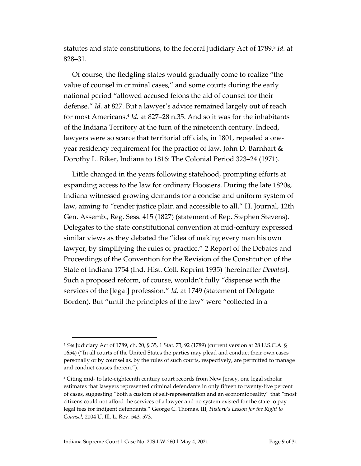statutes and state constitutions, to the federal Judiciary Act of 1789.<sup>3</sup> *Id.* at 828–31.

Of course, the fledgling states would gradually come to realize "the value of counsel in criminal cases," and some courts during the early national period "allowed accused felons the aid of counsel for their defense." *Id.* at 827. But a lawyer's advice remained largely out of reach for most Americans.<sup>4</sup> *Id.* at 827–28 n.35. And so it was for the inhabitants of the Indiana Territory at the turn of the nineteenth century. Indeed, lawyers were so scarce that territorial officials, in 1801, repealed a oneyear residency requirement for the practice of law. John D. Barnhart  $\&$ Dorothy L. Riker, Indiana to 1816: The Colonial Period 323–24 (1971).

Little changed in the years following statehood, prompting efforts at expanding access to the law for ordinary Hoosiers. During the late 1820s, Indiana witnessed growing demands for a concise and uniform system of law, aiming to "render justice plain and accessible to all." H. Journal, 12th Gen. Assemb., Reg. Sess. 415 (1827) (statement of Rep. Stephen Stevens). Delegates to the state constitutional convention at mid-century expressed similar views as they debated the "idea of making every man his own lawyer, by simplifying the rules of practice." 2 Report of the Debates and Proceedings of the Convention for the Revision of the Constitution of the State of Indiana 1754 (Ind. Hist. Coll. Reprint 1935) [hereinafter *Debates*]. Such a proposed reform, of course, wouldn't fully "dispense with the services of the [legal] profession." *Id.* at 1749 (statement of Delegate Borden). But "until the principles of the law" were "collected in a

<sup>3</sup> *See* Judiciary Act of 1789, ch. 20, § 35, 1 Stat. 73, 92 (1789) (current version at 28 U.S.C.A. § 1654) ("In all courts of the United States the parties may plead and conduct their own cases personally or by counsel as, by the rules of such courts, respectively, are permitted to manage and conduct causes therein.").

<sup>4</sup> Citing mid- to late-eighteenth century court records from New Jersey, one legal scholar estimates that lawyers represented criminal defendants in only fifteen to twenty-five percent of cases, suggesting "both a custom of self-representation and an economic reality" that "most citizens could not afford the services of a lawyer and no system existed for the state to pay legal fees for indigent defendants." George C. Thomas, III, *History's Lesson for the Right to Counsel*, 2004 U. Ill. L. Rev. 543, 573.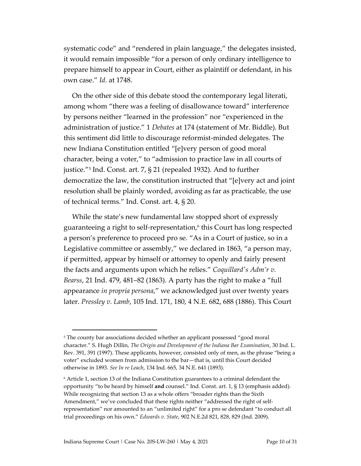systematic code" and "rendered in plain language," the delegates insisted, it would remain impossible "for a person of only ordinary intelligence to prepare himself to appear in Court, either as plaintiff or defendant, in his own case." *Id.* at 1748.

On the other side of this debate stood the contemporary legal literati, among whom "there was a feeling of disallowance toward" interference by persons neither "learned in the profession" nor "experienced in the administration of justice." 1 *Debates* at 174 (statement of Mr. Biddle). But this sentiment did little to discourage reformist-minded delegates. The new Indiana Constitution entitled "[e]very person of good moral character, being a voter," to "admission to practice law in all courts of justice."<sup>5</sup> Ind. Const. art. 7, § 21 (repealed 1932). And to further democratize the law, the constitution instructed that "[e]very act and joint resolution shall be plainly worded, avoiding as far as practicable, the use of technical terms." Ind. Const. art. 4, § 20.

While the state's new fundamental law stopped short of expressly guaranteeing a right to self-representation,<sup>6</sup> this Court has long respected a person's preference to proceed pro se. "As in a Court of justice, so in a Legislative committee or assembly," we declared in 1863, "a person may, if permitted, appear by himself or attorney to openly and fairly present the facts and arguments upon which he relies." *Coquillard's Adm'r v. Bearss*, 21 Ind. 479, 481–82 (1863). A party has the right to make a "full appearance *in propria persona*," we acknowledged just over twenty years later. *Pressley v. Lamb*, 105 Ind. 171, 180, 4 N.E. 682, 688 (1886). This Court

<sup>&</sup>lt;sup>5</sup> The county bar associations decided whether an applicant possessed "good moral character." S. Hugh Dillin, *The Origin and Development of the Indiana Bar Examination*, 30 Ind. L. Rev. 391, 391 (1997). These applicants, however, consisted only of men, as the phrase "being a voter" excluded women from admission to the bar—that is, until this Court decided otherwise in 1893. *See In re Leach*, 134 Ind. 665, 34 N.E. 641 (1893).

<sup>6</sup> Article 1, section 13 of the Indiana Constitution guarantees to a criminal defendant the opportunity "to be heard by himself **and** counsel." Ind. Const. art. 1, § 13 (emphasis added). While recognizing that section 13 as a whole offers "broader rights than the Sixth Amendment," we've concluded that these rights neither "addressed the right of selfrepresentation" nor amounted to an "unlimited right" for a pro se defendant "to conduct all trial proceedings on his own." *Edwards v. State*, 902 N.E.2d 821, 828, 829 (Ind. 2009).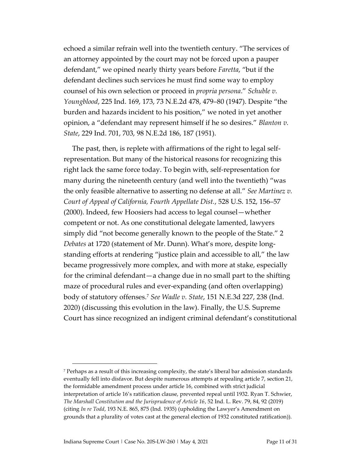echoed a similar refrain well into the twentieth century. "The services of an attorney appointed by the court may not be forced upon a pauper defendant," we opined nearly thirty years before *Faretta*, "but if the defendant declines such services he must find some way to employ counsel of his own selection or proceed in *propria persona*." *Schuble v. Youngblood*, 225 Ind. 169, 173, 73 N.E.2d 478, 479–80 (1947). Despite "the burden and hazards incident to his position," we noted in yet another opinion, a "defendant may represent himself if he so desires." *Blanton v. State*, 229 Ind. 701, 703, 98 N.E.2d 186, 187 (1951).

The past, then, is replete with affirmations of the right to legal selfrepresentation. But many of the historical reasons for recognizing this right lack the same force today. To begin with, self-representation for many during the nineteenth century (and well into the twentieth) "was the only feasible alternative to asserting no defense at all." *See Martinez v. Court of Appeal of California, Fourth Appellate Dist.*, 528 U.S. 152, 156–57 (2000). Indeed, few Hoosiers had access to legal counsel—whether competent or not. As one constitutional delegate lamented, lawyers simply did "not become generally known to the people of the State." 2 *Debates* at 1720 (statement of Mr. Dunn). What's more, despite longstanding efforts at rendering "justice plain and accessible to all," the law became progressively more complex, and with more at stake, especially for the criminal defendant—a change due in no small part to the shifting maze of procedural rules and ever-expanding (and often overlapping) body of statutory offenses.<sup>7</sup> *See Wadle v. State*, 151 N.E.3d 227, 238 (Ind. 2020) (discussing this evolution in the law). Finally, the U.S. Supreme Court has since recognized an indigent criminal defendant's constitutional

<sup>7</sup> Perhaps as a result of this increasing complexity, the state's liberal bar admission standards eventually fell into disfavor. But despite numerous attempts at repealing article 7, section 21, the formidable amendment process under article 16, combined with strict judicial interpretation of article 16's ratification clause, prevented repeal until 1932. Ryan T. Schwier, *The Marshall Constitution and the Jurisprudence of Article 16*, 52 Ind. L. Rev. 79, 84, 92 (2019) (citing *In re Todd*, 193 N.E. 865, 875 (Ind. 1935) (upholding the Lawyer's Amendment on grounds that a plurality of votes cast at the general election of 1932 constituted ratification)).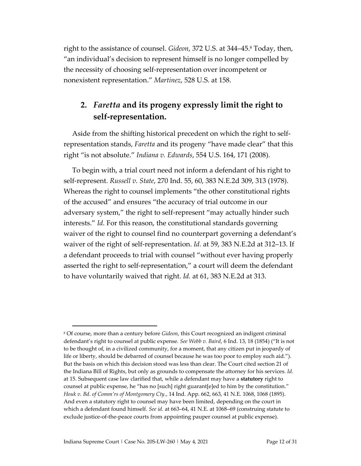right to the assistance of counsel. *Gideon*, 372 U.S. at 344–45. <sup>8</sup> Today, then, "an individual's decision to represent himself is no longer compelled by the necessity of choosing self-representation over incompetent or nonexistent representation." *Martinez*, 528 U.S. at 158.

### **2.** *Faretta* **and its progeny expressly limit the right to self-representation.**

Aside from the shifting historical precedent on which the right to selfrepresentation stands, *Faretta* and its progeny "have made clear" that this right "is not absolute." *Indiana v. Edwards*, 554 U.S. 164, 171 (2008).

To begin with, a trial court need not inform a defendant of his right to self-represent. *Russell v. State*, 270 Ind. 55, 60, 383 N.E.2d 309, 313 (1978). Whereas the right to counsel implements "the other constitutional rights of the accused" and ensures "the accuracy of trial outcome in our adversary system," the right to self-represent "may actually hinder such interests." *Id.* For this reason, the constitutional standards governing waiver of the right to counsel find no counterpart governing a defendant's waiver of the right of self-representation. *Id.* at 59, 383 N.E.2d at 312–13. If a defendant proceeds to trial with counsel "without ever having properly asserted the right to self-representation," a court will deem the defendant to have voluntarily waived that right. *Id.* at 61, 383 N.E.2d at 313.

<sup>8</sup> Of course, more than a century before *Gideon*, this Court recognized an indigent criminal defendant's right to counsel at public expense. *See Webb v. Baird*, 6 Ind. 13, 18 (1854) ("It is not to be thought of, in a civilized community, for a moment, that any citizen put in jeopardy of life or liberty, should be debarred of counsel because he was too poor to employ such aid."). But the basis on which this decision stood was less than clear. The Court cited section 21 of the Indiana Bill of Rights, but only as grounds to compensate the attorney for his services. *Id.* at 15. Subsequent case law clarified that, while a defendant may have a **statutory** right to counsel at public expense, he "has no [such] right guarant[e]ed to him by the constitution." *Houk v. Bd. of Comm'rs of Montgomery Cty.*, 14 Ind. App. 662, 663, 41 N.E. 1068, 1068 (1895). And even a statutory right to counsel may have been limited, depending on the court in which a defendant found himself. *See id.* at 663–64, 41 N.E. at 1068–69 (construing statute to exclude justice-of-the-peace courts from appointing pauper counsel at public expense).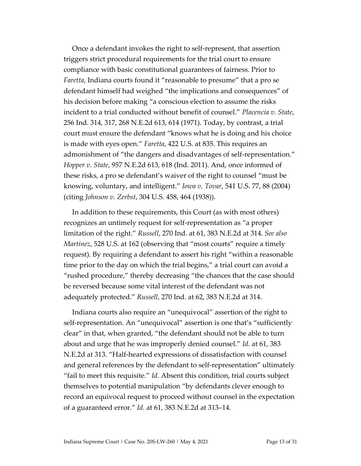Once a defendant invokes the right to self-represent, that assertion triggers strict procedural requirements for the trial court to ensure compliance with basic constitutional guarantees of fairness. Prior to *Faretta*, Indiana courts found it "reasonable to presume" that a pro se defendant himself had weighed "the implications and consequences" of his decision before making "a conscious election to assume the risks incident to a trial conducted without benefit of counsel." *Placencia v. State*, 256 Ind. 314, 317, 268 N.E.2d 613, 614 (1971). Today, by contrast, a trial court must ensure the defendant "knows what he is doing and his choice is made with eyes open." *Faretta*, 422 U.S. at 835. This requires an admonishment of "the dangers and disadvantages of self-representation." *Hopper v. State*, 957 N.E.2d 613, 618 (Ind. 2011). And, once informed of these risks, a pro se defendant's waiver of the right to counsel "must be knowing, voluntary, and intelligent." *Iowa v. Tovar*, 541 U.S. 77, 88 (2004) (citing *Johnson v. Zerbst*, 304 U.S. 458, 464 (1938)).

In addition to these requirements, this Court (as with most others) recognizes an untimely request for self-representation as "a proper limitation of the right." *Russell*, 270 Ind. at 61, 383 N.E.2d at 314. *See also Martinez*, 528 U.S. at 162 (observing that "most courts" require a timely request). By requiring a defendant to assert his right "within a reasonable time prior to the day on which the trial begins," a trial court can avoid a "rushed procedure," thereby decreasing "the chances that the case should be reversed because some vital interest of the defendant was not adequately protected." *Russell*, 270 Ind. at 62, 383 N.E.2d at 314.

Indiana courts also require an "unequivocal" assertion of the right to self-representation. An "unequivocal" assertion is one that's "sufficiently clear" in that, when granted, "the defendant should not be able to turn about and urge that he was improperly denied counsel." *Id.* at 61, 383 N.E.2d at 313. "Half-hearted expressions of dissatisfaction with counsel and general references by the defendant to self-representation" ultimately "fail to meet this requisite." *Id.* Absent this condition, trial courts subject themselves to potential manipulation "by defendants clever enough to record an equivocal request to proceed without counsel in the expectation of a guaranteed error." *Id.* at 61, 383 N.E.2d at 313–14.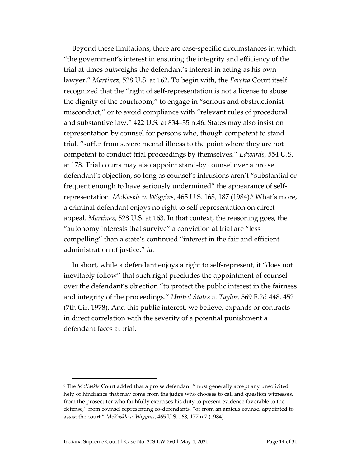Beyond these limitations, there are case-specific circumstances in which "the government's interest in ensuring the integrity and efficiency of the trial at times outweighs the defendant's interest in acting as his own lawyer." *Martinez*, 528 U.S. at 162. To begin with, the *Faretta* Court itself recognized that the "right of self-representation is not a license to abuse the dignity of the courtroom," to engage in "serious and obstructionist misconduct," or to avoid compliance with "relevant rules of procedural and substantive law." 422 U.S. at 834–35 n.46. States may also insist on representation by counsel for persons who, though competent to stand trial, "suffer from severe mental illness to the point where they are not competent to conduct trial proceedings by themselves." *Edwards*, 554 U.S. at 178. Trial courts may also appoint stand-by counsel over a pro se defendant's objection, so long as counsel's intrusions aren't "substantial or frequent enough to have seriously undermined" the appearance of selfrepresentation. *McKaskle v. Wiggins*, 465 U.S. 168, 187 (1984).<sup>9</sup> What's more, a criminal defendant enjoys no right to self-representation on direct appeal. *Martinez*, 528 U.S. at 163. In that context, the reasoning goes, the "autonomy interests that survive" a conviction at trial are "less compelling" than a state's continued "interest in the fair and efficient administration of justice." *Id.*

In short, while a defendant enjoys a right to self-represent, it "does not inevitably follow" that such right precludes the appointment of counsel over the defendant's objection "to protect the public interest in the fairness and integrity of the proceedings." *United States v. Taylor*, 569 F.2d 448, 452 (7th Cir. 1978). And this public interest, we believe, expands or contracts in direct correlation with the severity of a potential punishment a defendant faces at trial.

<sup>9</sup> The *McKaskle* Court added that a pro se defendant "must generally accept any unsolicited help or hindrance that may come from the judge who chooses to call and question witnesses, from the prosecutor who faithfully exercises his duty to present evidence favorable to the defense," from counsel representing co-defendants, "or from an amicus counsel appointed to assist the court." *McKaskle v. Wiggins*, 465 U.S. 168, 177 n.7 (1984).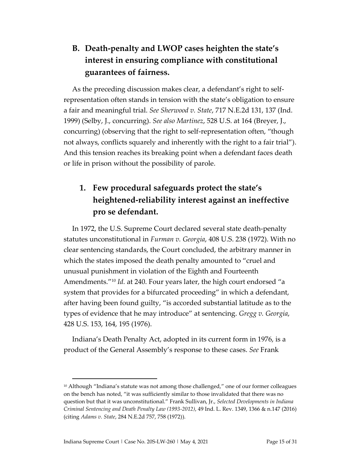## **B. Death-penalty and LWOP cases heighten the state's interest in ensuring compliance with constitutional guarantees of fairness.**

As the preceding discussion makes clear, a defendant's right to selfrepresentation often stands in tension with the state's obligation to ensure a fair and meaningful trial. *See Sherwood v. State*, 717 N.E.2d 131, 137 (Ind. 1999) (Selby, J., concurring). *See also Martinez*, 528 U.S. at 164 (Breyer, J., concurring) (observing that the right to self-representation often, "though not always, conflicts squarely and inherently with the right to a fair trial"). And this tension reaches its breaking point when a defendant faces death or life in prison without the possibility of parole.

## **1. Few procedural safeguards protect the state's heightened-reliability interest against an ineffective pro se defendant.**

In 1972, the U.S. Supreme Court declared several state death-penalty statutes unconstitutional in *Furman v. Georgia*, 408 U.S. 238 (1972). With no clear sentencing standards, the Court concluded, the arbitrary manner in which the states imposed the death penalty amounted to "cruel and unusual punishment in violation of the Eighth and Fourteenth Amendments."<sup>10</sup> *Id.* at 240. Four years later, the high court endorsed "a system that provides for a bifurcated proceeding" in which a defendant, after having been found guilty, "is accorded substantial latitude as to the types of evidence that he may introduce" at sentencing. *Gregg v. Georgia*, 428 U.S. 153, 164, 195 (1976).

Indiana's Death Penalty Act, adopted in its current form in 1976, is a product of the General Assembly's response to these cases. *See* Frank

 $10$  Although "Indiana's statute was not among those challenged," one of our former colleagues on the bench has noted, "it was sufficiently similar to those invalidated that there was no question but that it was unconstitutional." Frank Sullivan, Jr., *Selected Developments in Indiana Criminal Sentencing and Death Penalty Law (1993-2012)*, 49 Ind. L. Rev. 1349, 1366 & n.147 (2016) (citing *Adams v. State*, 284 N.E.2d 757, 758 (1972)).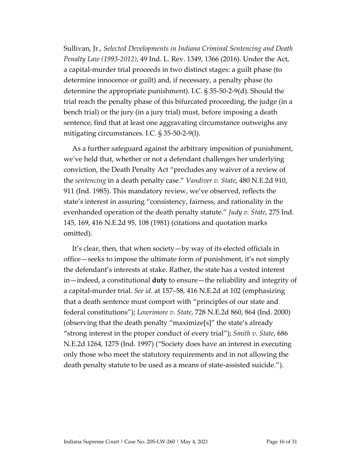Sullivan, Jr., *Selected Developments in Indiana Criminal Sentencing and Death Penalty Law (1993-2012)*, 49 Ind. L. Rev. 1349, 1366 (2016). Under the Act, a capital-murder trial proceeds in two distinct stages: a guilt phase (to determine innocence or guilt) and, if necessary, a penalty phase (to determine the appropriate punishment). I.C. § 35-50-2-9(d). Should the trial reach the penalty phase of this bifurcated proceeding, the judge (in a bench trial) or the jury (in a jury trial) must, before imposing a death sentence, find that at least one aggravating circumstance outweighs any mitigating circumstances. I.C. § 35-50-2-9(l).

As a further safeguard against the arbitrary imposition of punishment, we've held that, whether or not a defendant challenges her underlying conviction, the Death Penalty Act "precludes any waiver of a review of the *sentencing* in a death penalty case." *Vandiver v. State*, 480 N.E.2d 910, 911 (Ind. 1985). This mandatory review, we've observed, reflects the state's interest in assuring "consistency, fairness, and rationality in the evenhanded operation of the death penalty statute." *Judy v. State*, 275 Ind. 145, 169, 416 N.E.2d 95, 108 (1981) (citations and quotation marks omitted).

It's clear, then, that when society—by way of its elected officials in office—seeks to impose the ultimate form of punishment, it's not simply the defendant's interests at stake. Rather, the state has a vested interest in—indeed, a constitutional **duty** to ensure—the reliability and integrity of a capital-murder trial. *See id.* at 157–58, 416 N.E.2d at 102 (emphasizing that a death sentence must comport with "principles of our state and federal constitutions"); *Lowrimore v. State*, 728 N.E.2d 860, 864 (Ind. 2000) (observing that the death penalty "maximize[s]" the state's already "strong interest in the proper conduct of every trial"); *Smith v. State*, 686 N.E.2d 1264, 1275 (Ind. 1997) ("Society does have an interest in executing only those who meet the statutory requirements and in not allowing the death penalty statute to be used as a means of state-assisted suicide.").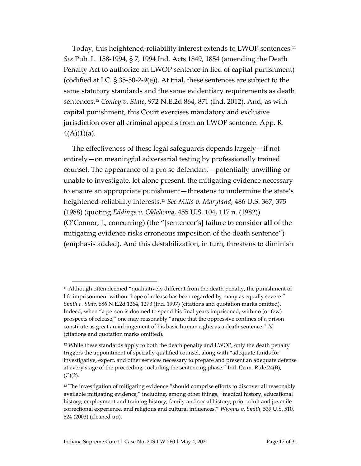Today, this heightened-reliability interest extends to LWOP sentences.<sup>11</sup> *See* Pub. L. 158-1994, § 7, 1994 Ind. Acts 1849, 1854 (amending the Death Penalty Act to authorize an LWOP sentence in lieu of capital punishment) (codified at I.C. § 35-50-2-9(e)). At trial, these sentences are subject to the same statutory standards and the same evidentiary requirements as death sentences.<sup>12</sup> *Conley v. State*, 972 N.E.2d 864, 871 (Ind. 2012). And, as with capital punishment, this Court exercises mandatory and exclusive jurisdiction over all criminal appeals from an LWOP sentence. App. R.  $4(A)(1)(a)$ .

The effectiveness of these legal safeguards depends largely—if not entirely—on meaningful adversarial testing by professionally trained counsel. The appearance of a pro se defendant—potentially unwilling or unable to investigate, let alone present, the mitigating evidence necessary to ensure an appropriate punishment—threatens to undermine the state's heightened-reliability interests. <sup>13</sup> *See Mills v. Maryland*, 486 U.S. 367, 375 (1988) (quoting *Eddings v. Oklahoma*, 455 U.S. 104, 117 n. (1982)) (O'Connor, J., concurring) (the "[sentencer's] failure to consider **all** of the mitigating evidence risks erroneous imposition of the death sentence") (emphasis added). And this destabilization, in turn, threatens to diminish

 $11$  Although often deemed "qualitatively different from the death penalty, the punishment of life imprisonment without hope of release has been regarded by many as equally severe." *Smith v. State*, 686 N.E.2d 1264, 1273 (Ind. 1997) (citations and quotation marks omitted). Indeed, when "a person is doomed to spend his final years imprisoned, with no (or few) prospects of release," one may reasonably "argue that the oppressive confines of a prison constitute as great an infringement of his basic human rights as a death sentence." *Id.* (citations and quotation marks omitted).

 $12$  While these standards apply to both the death penalty and LWOP, only the death penalty triggers the appointment of specially qualified counsel, along with "adequate funds for investigative, expert, and other services necessary to prepare and present an adequate defense at every stage of the proceeding, including the sentencing phase." Ind. Crim. Rule 24(B),  $(C)(2)$ .

<sup>&</sup>lt;sup>13</sup> The investigation of mitigating evidence "should comprise efforts to discover all reasonably available mitigating evidence," including, among other things, "medical history, educational history, employment and training history, family and social history, prior adult and juvenile correctional experience, and religious and cultural influences." *Wiggins v. Smith*, 539 U.S. 510, 524 (2003) (cleaned up).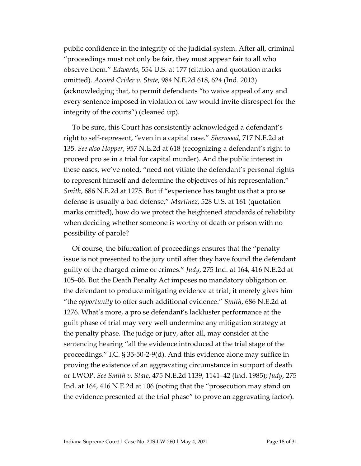public confidence in the integrity of the judicial system. After all, criminal "proceedings must not only be fair, they must appear fair to all who observe them." *Edwards*, 554 U.S. at 177 (citation and quotation marks omitted). *Accord Crider v. State*, 984 N.E.2d 618, 624 (Ind. 2013) (acknowledging that, to permit defendants "to waive appeal of any and every sentence imposed in violation of law would invite disrespect for the integrity of the courts") (cleaned up).

To be sure, this Court has consistently acknowledged a defendant's right to self-represent, "even in a capital case." *Sherwood*, 717 N.E.2d at 135. *See also Hopper*, 957 N.E.2d at 618 (recognizing a defendant's right to proceed pro se in a trial for capital murder). And the public interest in these cases, we've noted, "need not vitiate the defendant's personal rights to represent himself and determine the objectives of his representation." *Smith*, 686 N.E.2d at 1275. But if "experience has taught us that a pro se defense is usually a bad defense," *Martinez*, 528 U.S. at 161 (quotation marks omitted), how do we protect the heightened standards of reliability when deciding whether someone is worthy of death or prison with no possibility of parole?

Of course, the bifurcation of proceedings ensures that the "penalty issue is not presented to the jury until after they have found the defendant guilty of the charged crime or crimes." *Judy*, 275 Ind. at 164, 416 N.E.2d at 105–06. But the Death Penalty Act imposes **no** mandatory obligation on the defendant to produce mitigating evidence at trial; it merely gives him "the *opportunity* to offer such additional evidence." *Smith*, 686 N.E.2d at 1276. What's more, a pro se defendant's lackluster performance at the guilt phase of trial may very well undermine any mitigation strategy at the penalty phase. The judge or jury, after all, may consider at the sentencing hearing "all the evidence introduced at the trial stage of the proceedings." I.C. § 35-50-2-9(d). And this evidence alone may suffice in proving the existence of an aggravating circumstance in support of death or LWOP. *See Smith v. State*, 475 N.E.2d 1139, 1141–42 (Ind. 1985); *Judy*, 275 Ind. at 164, 416 N.E.2d at 106 (noting that the "prosecution may stand on the evidence presented at the trial phase" to prove an aggravating factor).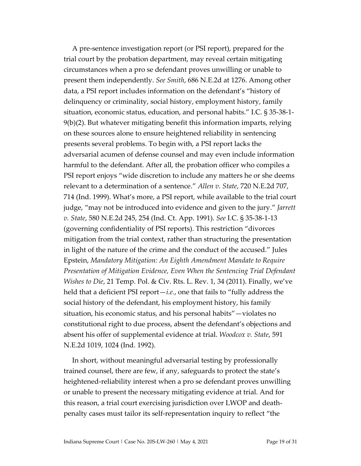A pre-sentence investigation report (or PSI report), prepared for the trial court by the probation department, may reveal certain mitigating circumstances when a pro se defendant proves unwilling or unable to present them independently. *See Smith*, 686 N.E.2d at 1276. Among other data, a PSI report includes information on the defendant's "history of delinquency or criminality, social history, employment history, family situation, economic status, education, and personal habits." I.C. § 35-38-1- 9(b)(2). But whatever mitigating benefit this information imparts, relying on these sources alone to ensure heightened reliability in sentencing presents several problems. To begin with, a PSI report lacks the adversarial acumen of defense counsel and may even include information harmful to the defendant. After all, the probation officer who compiles a PSI report enjoys "wide discretion to include any matters he or she deems relevant to a determination of a sentence." *Allen v. State*, 720 N.E.2d 707, 714 (Ind. 1999). What's more, a PSI report, while available to the trial court judge, "may not be introduced into evidence and given to the jury." *Jarrett v. State*, 580 N.E.2d 245, 254 (Ind. Ct. App. 1991). *See* I.C. § 35-38-1-13 (governing confidentiality of PSI reports). This restriction "divorces mitigation from the trial context, rather than structuring the presentation in light of the nature of the crime and the conduct of the accused." Jules Epstein, *Mandatory Mitigation: An Eighth Amendment Mandate to Require Presentation of Mitigation Evidence, Even When the Sentencing Trial Defendant Wishes to Die*, 21 Temp. Pol. & Civ. Rts. L. Rev. 1, 34 (2011). Finally, we've held that a deficient PSI report—*i.e.*, one that fails to "fully address the social history of the defendant, his employment history, his family situation, his economic status, and his personal habits"—violates no constitutional right to due process, absent the defendant's objections and absent his offer of supplemental evidence at trial. *Woodcox v. State*, 591 N.E.2d 1019, 1024 (Ind. 1992).

In short, without meaningful adversarial testing by professionally trained counsel, there are few, if any, safeguards to protect the state's heightened-reliability interest when a pro se defendant proves unwilling or unable to present the necessary mitigating evidence at trial. And for this reason, a trial court exercising jurisdiction over LWOP and deathpenalty cases must tailor its self-representation inquiry to reflect "the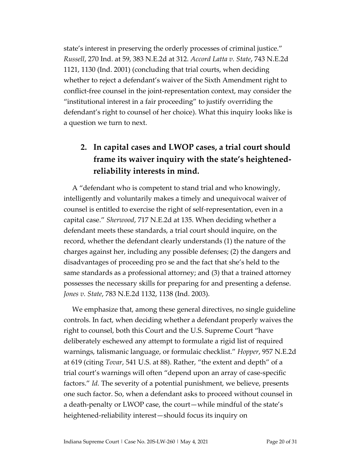state's interest in preserving the orderly processes of criminal justice." *Russell*, 270 Ind. at 59, 383 N.E.2d at 312. *Accord Latta v. State*, 743 N.E.2d 1121, 1130 (Ind. 2001) (concluding that trial courts, when deciding whether to reject a defendant's waiver of the Sixth Amendment right to conflict-free counsel in the joint-representation context, may consider the "institutional interest in a fair proceeding" to justify overriding the defendant's right to counsel of her choice). What this inquiry looks like is a question we turn to next.

### **2. In capital cases and LWOP cases, a trial court should frame its waiver inquiry with the state's heightenedreliability interests in mind.**

A "defendant who is competent to stand trial and who knowingly, intelligently and voluntarily makes a timely and unequivocal waiver of counsel is entitled to exercise the right of self-representation, even in a capital case." *Sherwood*, 717 N.E.2d at 135. When deciding whether a defendant meets these standards, a trial court should inquire, on the record, whether the defendant clearly understands (1) the nature of the charges against her, including any possible defenses; (2) the dangers and disadvantages of proceeding pro se and the fact that she's held to the same standards as a professional attorney; and (3) that a trained attorney possesses the necessary skills for preparing for and presenting a defense. *Jones v. State*, 783 N.E.2d 1132, 1138 (Ind. 2003).

We emphasize that, among these general directives, no single guideline controls. In fact, when deciding whether a defendant properly waives the right to counsel, both this Court and the U.S. Supreme Court "have deliberately eschewed any attempt to formulate a rigid list of required warnings, talismanic language, or formulaic checklist." *Hopper*, 957 N.E.2d at 619 (citing *Tovar*, 541 U.S. at 88). Rather, "the extent and depth" of a trial court's warnings will often "depend upon an array of case-specific factors." *Id.* The severity of a potential punishment, we believe, presents one such factor. So, when a defendant asks to proceed without counsel in a death-penalty or LWOP case, the court—while mindful of the state's heightened-reliability interest—should focus its inquiry on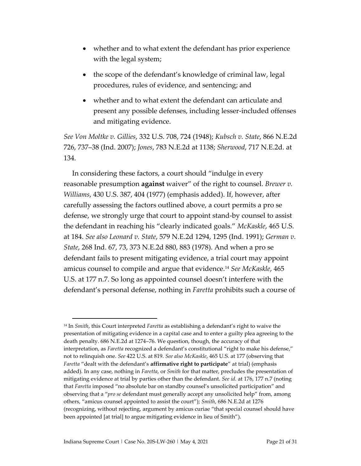- whether and to what extent the defendant has prior experience with the legal system;
- the scope of the defendant's knowledge of criminal law, legal procedures, rules of evidence, and sentencing; and
- whether and to what extent the defendant can articulate and present any possible defenses, including lesser-included offenses and mitigating evidence.

*See Von Moltke v. Gillies*, 332 U.S. 708, 724 (1948); *Kubsch v. State*, 866 N.E.2d 726, 737–38 (Ind. 2007); *Jones*, 783 N.E.2d at 1138; *Sherwood*, 717 N.E.2d. at 134.

In considering these factors, a court should "indulge in every reasonable presumption **against** waiver" of the right to counsel. *Brewer v. Williams*, 430 U.S. 387, 404 (1977) (emphasis added). If, however, after carefully assessing the factors outlined above, a court permits a pro se defense, we strongly urge that court to appoint stand-by counsel to assist the defendant in reaching his "clearly indicated goals." *McKaskle*, 465 U.S. at 184. *See also Leonard v. State*, 579 N.E.2d 1294, 1295 (Ind. 1991); *German v. State*, 268 Ind. 67, 73, 373 N.E.2d 880, 883 (1978). And when a pro se defendant fails to present mitigating evidence, a trial court may appoint amicus counsel to compile and argue that evidence.<sup>14</sup> *See McKaskle*, 465 U.S. at 177 n.7. So long as appointed counsel doesn't interfere with the defendant's personal defense, nothing in *Faretta* prohibits such a course of

<sup>14</sup> In *Smith*, this Court interpreted *Faretta* as establishing a defendant's right to waive the presentation of mitigating evidence in a capital case and to enter a guilty plea agreeing to the death penalty. 686 N.E.2d at 1274–76. We question, though, the accuracy of that interpretation, as *Faretta* recognized a defendant's constitutional "right to make his defense," not to relinquish one. *See* 422 U.S. at 819. *See also McKaskle*, 465 U.S. at 177 (observing that *Faretta* "dealt with the defendant's **affirmative right to participate**" at trial) (emphasis added). In any case, nothing in *Faretta*, or *Smith* for that matter, precludes the presentation of mitigating evidence at trial by parties other than the defendant. *See id.* at 176, 177 n.7 (noting that *Faretta* imposed "no absolute bar on standby counsel's unsolicited participation" and observing that a "*pro se* defendant must generally accept any unsolicited help" from, among others, "amicus counsel appointed to assist the court"); *Smith*, 686 N.E.2d at 1276 (recognizing, without rejecting, argument by amicus curiae "that special counsel should have been appointed [at trial] to argue mitigating evidence in lieu of Smith").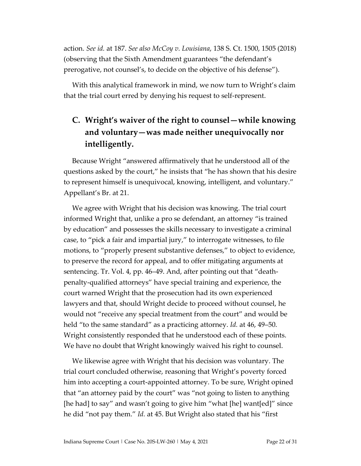action. *See id.* at 187. *See also McCoy v. Louisiana*, 138 S. Ct. 1500, 1505 (2018) (observing that the Sixth Amendment guarantees "the defendant's prerogative, not counsel's, to decide on the objective of his defense").

With this analytical framework in mind, we now turn to Wright's claim that the trial court erred by denying his request to self-represent.

### **C. Wright's waiver of the right to counsel—while knowing and voluntary—was made neither unequivocally nor intelligently.**

Because Wright "answered affirmatively that he understood all of the questions asked by the court," he insists that "he has shown that his desire to represent himself is unequivocal, knowing, intelligent, and voluntary." Appellant's Br. at 21.

We agree with Wright that his decision was knowing. The trial court informed Wright that, unlike a pro se defendant, an attorney "is trained by education" and possesses the skills necessary to investigate a criminal case, to "pick a fair and impartial jury," to interrogate witnesses, to file motions, to "properly present substantive defenses," to object to evidence, to preserve the record for appeal, and to offer mitigating arguments at sentencing. Tr. Vol. 4, pp. 46–49. And, after pointing out that "deathpenalty-qualified attorneys" have special training and experience, the court warned Wright that the prosecution had its own experienced lawyers and that, should Wright decide to proceed without counsel, he would not "receive any special treatment from the court" and would be held "to the same standard" as a practicing attorney. *Id.* at 46, 49–50. Wright consistently responded that he understood each of these points. We have no doubt that Wright knowingly waived his right to counsel.

We likewise agree with Wright that his decision was voluntary. The trial court concluded otherwise, reasoning that Wright's poverty forced him into accepting a court-appointed attorney. To be sure, Wright opined that "an attorney paid by the court" was "not going to listen to anything [he had] to say" and wasn't going to give him "what [he] want[ed]" since he did "not pay them." *Id.* at 45. But Wright also stated that his "first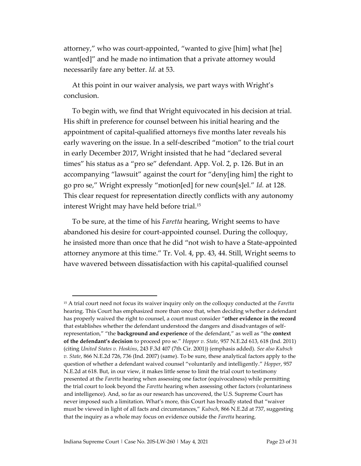attorney," who was court-appointed, "wanted to give [him] what [he] want[ed]" and he made no intimation that a private attorney would necessarily fare any better. *Id.* at 53.

At this point in our waiver analysis, we part ways with Wright's conclusion.

To begin with, we find that Wright equivocated in his decision at trial. His shift in preference for counsel between his initial hearing and the appointment of capital-qualified attorneys five months later reveals his early wavering on the issue. In a self-described "motion" to the trial court in early December 2017, Wright insisted that he had "declared several times" his status as a "pro se" defendant. App. Vol. 2, p. 126. But in an accompanying "lawsuit" against the court for "deny[ing him] the right to go pro se," Wright expressly "motion[ed] for new coun[s]el." *Id.* at 128. This clear request for representation directly conflicts with any autonomy interest Wright may have held before trial. 15

To be sure, at the time of his *Faretta* hearing, Wright seems to have abandoned his desire for court-appointed counsel. During the colloquy, he insisted more than once that he did "not wish to have a State-appointed attorney anymore at this time." Tr. Vol. 4, pp. 43, 44. Still, Wright seems to have wavered between dissatisfaction with his capital-qualified counsel

<sup>15</sup> A trial court need not focus its waiver inquiry only on the colloquy conducted at the *Faretta* hearing. This Court has emphasized more than once that, when deciding whether a defendant has properly waived the right to counsel, a court must consider "**other evidence in the record** that establishes whether the defendant understood the dangers and disadvantages of selfrepresentation," "the **background and experience** of the defendant," as well as "the **context of the defendant's decision** to proceed pro se." *Hopper v. State*, 957 N.E.2d 613, 618 (Ind. 2011) (citing *United States v. Hoskins*, 243 F.3d 407 (7th Cir. 2001)) (emphasis added). *See also Kubsch v. State*, 866 N.E.2d 726, 736 (Ind. 2007) (same). To be sure, these analytical factors apply to the question of whether a defendant waived counsel "voluntarily and intelligently." *Hopper*, 957 N.E.2d at 618. But, in our view, it makes little sense to limit the trial court to testimony presented at the *Faretta* hearing when assessing one factor (equivocalness) while permitting the trial court to look beyond the *Faretta* hearing when assessing other factors (voluntariness and intelligence). And, so far as our research has uncovered, the U.S. Supreme Court has never imposed such a limitation. What's more, this Court has broadly stated that "waiver must be viewed in light of all facts and circumstances," *Kubsch*, 866 N.E.2d at 737, suggesting that the inquiry as a whole may focus on evidence outside the *Faretta* hearing.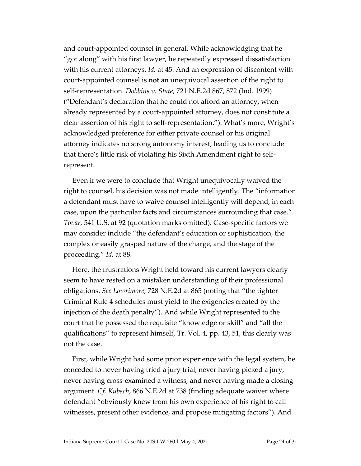and court-appointed counsel in general. While acknowledging that he "got along" with his first lawyer, he repeatedly expressed dissatisfaction with his current attorneys. *Id.* at 45. And an expression of discontent with court-appointed counsel is **not** an unequivocal assertion of the right to self-representation. *Dobbins v. State*, 721 N.E.2d 867, 872 (Ind. 1999) ("Defendant's declaration that he could not afford an attorney, when already represented by a court-appointed attorney, does not constitute a clear assertion of his right to self-representation."). What's more, Wright's acknowledged preference for either private counsel or his original attorney indicates no strong autonomy interest, leading us to conclude that there's little risk of violating his Sixth Amendment right to selfrepresent.

Even if we were to conclude that Wright unequivocally waived the right to counsel, his decision was not made intelligently. The "information a defendant must have to waive counsel intelligently will depend, in each case, upon the particular facts and circumstances surrounding that case." *Tovar*, 541 U.S. at 92 (quotation marks omitted). Case-specific factors we may consider include "the defendant's education or sophistication, the complex or easily grasped nature of the charge, and the stage of the proceeding." *Id.* at 88.

Here, the frustrations Wright held toward his current lawyers clearly seem to have rested on a mistaken understanding of their professional obligations. *See Lowrimore*, 728 N.E.2d at 865 (noting that "the tighter Criminal Rule 4 schedules must yield to the exigencies created by the injection of the death penalty"). And while Wright represented to the court that he possessed the requisite "knowledge or skill" and "all the qualifications" to represent himself, Tr. Vol. 4, pp. 43, 51, this clearly was not the case.

First, while Wright had some prior experience with the legal system, he conceded to never having tried a jury trial, never having picked a jury, never having cross-examined a witness, and never having made a closing argument. *Cf. Kubsch*, 866 N.E.2d at 738 (finding adequate waiver where defendant "obviously knew from his own experience of his right to call witnesses, present other evidence, and propose mitigating factors"). And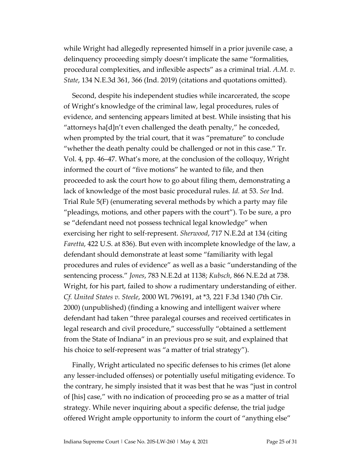while Wright had allegedly represented himself in a prior juvenile case, a delinquency proceeding simply doesn't implicate the same "formalities, procedural complexities, and inflexible aspects" as a criminal trial. *A.M. v. State*, 134 N.E.3d 361, 366 (Ind. 2019) (citations and quotations omitted).

Second, despite his independent studies while incarcerated, the scope of Wright's knowledge of the criminal law, legal procedures, rules of evidence, and sentencing appears limited at best. While insisting that his "attorneys ha[d]n't even challenged the death penalty," he conceded, when prompted by the trial court, that it was "premature" to conclude "whether the death penalty could be challenged or not in this case." Tr. Vol. 4, pp. 46–47. What's more, at the conclusion of the colloquy, Wright informed the court of "five motions" he wanted to file, and then proceeded to ask the court how to go about filing them, demonstrating a lack of knowledge of the most basic procedural rules. *Id.* at 53. *See* Ind. Trial Rule 5(F) (enumerating several methods by which a party may file "pleadings, motions, and other papers with the court"). To be sure, a pro se "defendant need not possess technical legal knowledge" when exercising her right to self-represent. *Sherwood*, 717 N.E.2d at 134 (citing *Faretta*, 422 U.S. at 836). But even with incomplete knowledge of the law, a defendant should demonstrate at least some "familiarity with legal procedures and rules of evidence" as well as a basic "understanding of the sentencing process." *Jones*, 783 N.E.2d at 1138; *Kubsch*, 866 N.E.2d at 738. Wright, for his part, failed to show a rudimentary understanding of either. *Cf. United States v. Steele*, 2000 WL 796191, at \*3, 221 F.3d 1340 (7th Cir. 2000) (unpublished) (finding a knowing and intelligent waiver where defendant had taken "three paralegal courses and received certificates in legal research and civil procedure," successfully "obtained a settlement from the State of Indiana" in an previous pro se suit, and explained that his choice to self-represent was "a matter of trial strategy").

Finally, Wright articulated no specific defenses to his crimes (let alone any lesser-included offenses) or potentially useful mitigating evidence. To the contrary, he simply insisted that it was best that he was "just in control of [his] case," with no indication of proceeding pro se as a matter of trial strategy. While never inquiring about a specific defense, the trial judge offered Wright ample opportunity to inform the court of "anything else"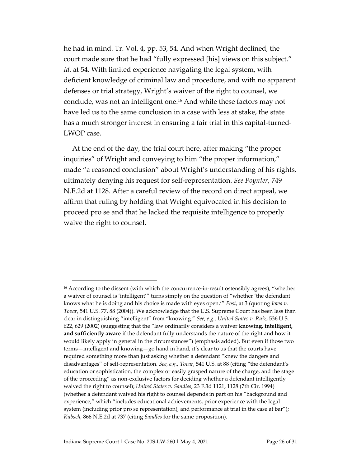he had in mind. Tr. Vol. 4, pp. 53, 54. And when Wright declined, the court made sure that he had "fully expressed [his] views on this subject." *Id.* at 54. With limited experience navigating the legal system, with deficient knowledge of criminal law and procedure, and with no apparent defenses or trial strategy, Wright's waiver of the right to counsel, we conclude, was not an intelligent one.<sup>16</sup> And while these factors may not have led us to the same conclusion in a case with less at stake, the state has a much stronger interest in ensuring a fair trial in this capital-turned-LWOP case.

At the end of the day, the trial court here, after making "the proper inquiries" of Wright and conveying to him "the proper information," made "a reasoned conclusion" about Wright's understanding of his rights, ultimately denying his request for self-representation. *See Poynter*, 749 N.E.2d at 1128. After a careful review of the record on direct appeal, we affirm that ruling by holding that Wright equivocated in his decision to proceed pro se and that he lacked the requisite intelligence to properly waive the right to counsel.

<sup>&</sup>lt;sup>16</sup> According to the dissent (with which the concurrence-in-result ostensibly agrees), "whether a waiver of counsel is 'intelligent'" turns simply on the question of "whether 'the defendant knows what he is doing and his choice is made with eyes open.'" *Post*, at 3 (quoting *Iowa v. Tovar*, 541 U.S. 77, 88 (2004)). We acknowledge that the U.S. Supreme Court has been less than clear in distinguishing "intelligent" from "knowing." *See, e.g.*, *United States v. Ruiz*, 536 U.S. 622, 629 (2002) (suggesting that the "law ordinarily considers a waiver **knowing, intelligent, and sufficiently aware** if the defendant fully understands the nature of the right and how it would likely apply in general in the circumstances") (emphasis added). But even if those two terms—intelligent and knowing—go hand in hand, it's clear to us that the courts have required something more than just asking whether a defendant "knew the dangers and disadvantages" of self-representation. *See, e.g.*, *Tovar*, 541 U.S. at 88 (citing "the defendant's education or sophistication, the complex or easily grasped nature of the charge, and the stage of the proceeding" as non-exclusive factors for deciding whether a defendant intelligently waived the right to counsel); *United States v. Sandles*, 23 F.3d 1121, 1128 (7th Cir. 1994) (whether a defendant waived his right to counsel depends in part on his "background and experience," which "includes educational achievements, prior experience with the legal system (including prior pro se representation), and performance at trial in the case at bar"); *Kubsch*, 866 N.E.2d at 737 (citing *Sandles* for the same proposition).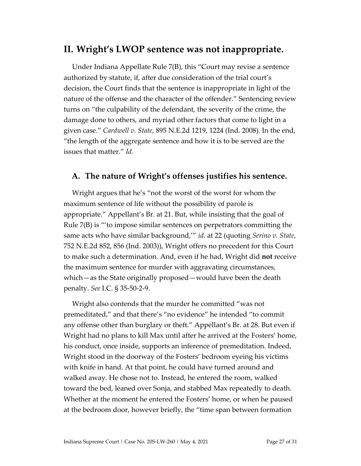#### **II. Wright's LWOP sentence was not inappropriate.**

Under Indiana Appellate Rule 7(B), this "Court may revise a sentence authorized by statute, if, after due consideration of the trial court's decision, the Court finds that the sentence is inappropriate in light of the nature of the offense and the character of the offender." Sentencing review turns on "the culpability of the defendant, the severity of the crime, the damage done to others, and myriad other factors that come to light in a given case." *Cardwell v. State*, 895 N.E.2d 1219, 1224 (Ind. 2008). In the end, "the length of the aggregate sentence and how it is to be served are the issues that matter." *Id.*

#### **A. The nature of Wright's offenses justifies his sentence.**

Wright argues that he's "not the worst of the worst for whom the maximum sentence of life without the possibility of parole is appropriate." Appellant's Br. at 21. But, while insisting that the goal of Rule 7(B) is "'to impose similar sentences on perpetrators committing the same acts who have similar background,'" *id.* at 22 (quoting *Serino v. State*, 752 N.E.2d 852, 856 (Ind. 2003)), Wright offers no precedent for this Court to make such a determination. And, even if he had, Wright did **not** receive the maximum sentence for murder with aggravating circumstances, which—as the State originally proposed—would have been the death penalty. *See* I.C. § 35-50-2-9.

Wright also contends that the murder he committed "was not premeditated," and that there's "no evidence" he intended "to commit any offense other than burglary or theft." Appellant's Br. at 28. But even if Wright had no plans to kill Max until after he arrived at the Fosters' home, his conduct, once inside, supports an inference of premeditation. Indeed, Wright stood in the doorway of the Fosters' bedroom eyeing his victims with knife in hand. At that point, he could have turned around and walked away. He chose not to. Instead, he entered the room, walked toward the bed, leaned over Sonja, and stabbed Max repeatedly to death. Whether at the moment he entered the Fosters' home, or when he paused at the bedroom door, however briefly, the "time span between formation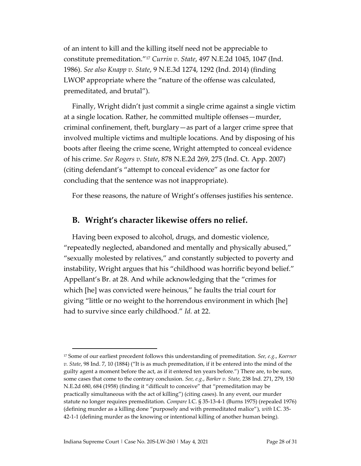of an intent to kill and the killing itself need not be appreciable to constitute premeditation."<sup>17</sup> *Currin v. State*, 497 N.E.2d 1045, 1047 (Ind. 1986). *See also Knapp v. State*, 9 N.E.3d 1274, 1292 (Ind. 2014) (finding LWOP appropriate where the "nature of the offense was calculated, premeditated, and brutal").

Finally, Wright didn't just commit a single crime against a single victim at a single location. Rather, he committed multiple offenses—murder, criminal confinement, theft, burglary—as part of a larger crime spree that involved multiple victims and multiple locations. And by disposing of his boots after fleeing the crime scene, Wright attempted to conceal evidence of his crime. *See Rogers v. State*, 878 N.E.2d 269, 275 (Ind. Ct. App. 2007) (citing defendant's "attempt to conceal evidence" as one factor for concluding that the sentence was not inappropriate).

For these reasons, the nature of Wright's offenses justifies his sentence.

#### **B. Wright's character likewise offers no relief.**

Having been exposed to alcohol, drugs, and domestic violence, "repeatedly neglected, abandoned and mentally and physically abused," "sexually molested by relatives," and constantly subjected to poverty and instability, Wright argues that his "childhood was horrific beyond belief." Appellant's Br. at 28. And while acknowledging that the "crimes for which [he] was convicted were heinous," he faults the trial court for giving "little or no weight to the horrendous environment in which [he] had to survive since early childhood." *Id.* at 22.

<sup>17</sup> Some of our earliest precedent follows this understanding of premeditation. *See, e.g.*, *Koerner v. State*, 98 Ind. 7, 10 (1884) ("It is as much premeditation, if it be entered into the mind of the guilty agent a moment before the act, as if it entered ten years before.") There are, to be sure, some cases that come to the contrary conclusion. *See, e.g.*, *Barker v. State*, 238 Ind. 271, 279, 150 N.E.2d 680, 684 (1958) (finding it "difficult to conceive" that "premeditation may be practically simultaneous with the act of killing") (citing cases). In any event, our murder statute no longer requires premeditation. *Compare* I.C. § 35-13-4-1 (Burns 1975) (repealed 1976) (defining murder as a killing done "purposely and with premeditated malice"), *with* I.C. 35- 42-1-1 (defining murder as the knowing or intentional killing of another human being).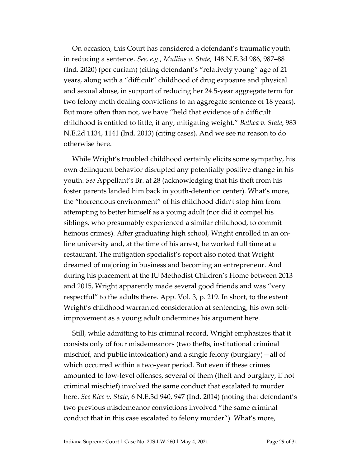On occasion, this Court has considered a defendant's traumatic youth in reducing a sentence. *See, e.g.*, *Mullins v. State*, 148 N.E.3d 986, 987–88 (Ind. 2020) (per curiam) (citing defendant's "relatively young" age of 21 years, along with a "difficult" childhood of drug exposure and physical and sexual abuse, in support of reducing her 24.5-year aggregate term for two felony meth dealing convictions to an aggregate sentence of 18 years). But more often than not, we have "held that evidence of a difficult childhood is entitled to little, if any, mitigating weight." *Bethea v. State*, 983 N.E.2d 1134, 1141 (Ind. 2013) (citing cases). And we see no reason to do otherwise here.

While Wright's troubled childhood certainly elicits some sympathy, his own delinquent behavior disrupted any potentially positive change in his youth. *See* Appellant's Br. at 28 (acknowledging that his theft from his foster parents landed him back in youth-detention center). What's more, the "horrendous environment" of his childhood didn't stop him from attempting to better himself as a young adult (nor did it compel his siblings, who presumably experienced a similar childhood, to commit heinous crimes). After graduating high school, Wright enrolled in an online university and, at the time of his arrest, he worked full time at a restaurant. The mitigation specialist's report also noted that Wright dreamed of majoring in business and becoming an entrepreneur. And during his placement at the IU Methodist Children's Home between 2013 and 2015, Wright apparently made several good friends and was "very respectful" to the adults there. App. Vol. 3, p. 219. In short, to the extent Wright's childhood warranted consideration at sentencing, his own selfimprovement as a young adult undermines his argument here.

Still, while admitting to his criminal record, Wright emphasizes that it consists only of four misdemeanors (two thefts, institutional criminal mischief, and public intoxication) and a single felony (burglary)—all of which occurred within a two-year period. But even if these crimes amounted to low-level offenses, several of them (theft and burglary, if not criminal mischief) involved the same conduct that escalated to murder here. *See Rice v. State*, 6 N.E.3d 940, 947 (Ind. 2014) (noting that defendant's two previous misdemeanor convictions involved "the same criminal conduct that in this case escalated to felony murder"). What's more,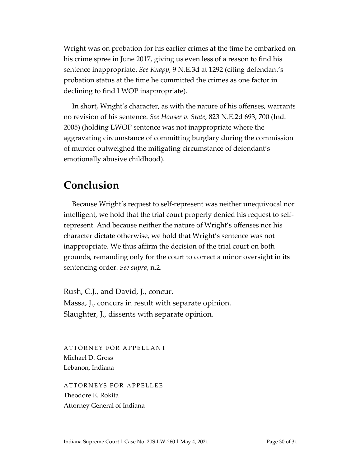Wright was on probation for his earlier crimes at the time he embarked on his crime spree in June 2017, giving us even less of a reason to find his sentence inappropriate. *See Knapp*, 9 N.E.3d at 1292 (citing defendant's probation status at the time he committed the crimes as one factor in declining to find LWOP inappropriate).

In short, Wright's character, as with the nature of his offenses, warrants no revision of his sentence. *See Houser v. State*, 823 N.E.2d 693, 700 (Ind. 2005) (holding LWOP sentence was not inappropriate where the aggravating circumstance of committing burglary during the commission of murder outweighed the mitigating circumstance of defendant's emotionally abusive childhood).

### **Conclusion**

Because Wright's request to self-represent was neither unequivocal nor intelligent, we hold that the trial court properly denied his request to selfrepresent. And because neither the nature of Wright's offenses nor his character dictate otherwise, we hold that Wright's sentence was not inappropriate. We thus affirm the decision of the trial court on both grounds, remanding only for the court to correct a minor oversight in its sentencing order. *See supra*, n.2.

Rush, C.J., and David, J., concur. Massa, J., concurs in result with separate opinion. Slaughter, J., dissents with separate opinion.

ATTORNEY FOR APPELLANT Michael D. Gross Lebanon, Indiana

ATTORNEYS FOR APPELLEE Theodore E. Rokita Attorney General of Indiana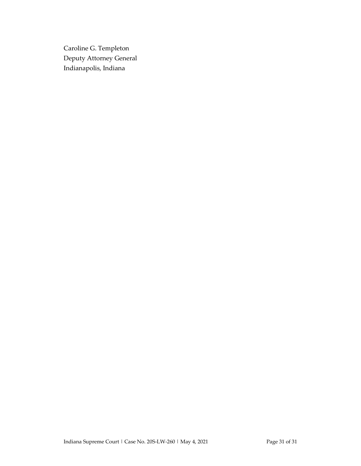Caroline G. Templeton Deputy Attorney General Indianapolis, Indiana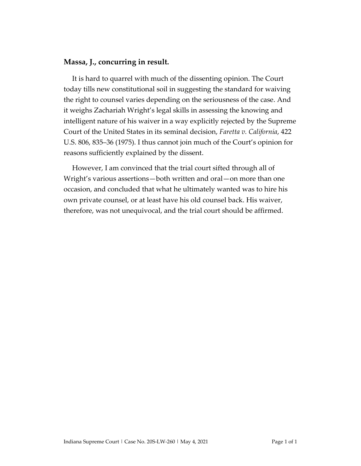#### **Massa, J., concurring in result.**

It is hard to quarrel with much of the dissenting opinion. The Court today tills new constitutional soil in suggesting the standard for waiving the right to counsel varies depending on the seriousness of the case. And it weighs Zachariah Wright's legal skills in assessing the knowing and intelligent nature of his waiver in a way explicitly rejected by the Supreme Court of the United States in its seminal decision, *Faretta v. California*, 422 U.S. 806, 835–36 (1975). I thus cannot join much of the Court's opinion for reasons sufficiently explained by the dissent.

However, I am convinced that the trial court sifted through all of Wright's various assertions—both written and oral—on more than one occasion, and concluded that what he ultimately wanted was to hire his own private counsel, or at least have his old counsel back. His waiver, therefore, was not unequivocal, and the trial court should be affirmed.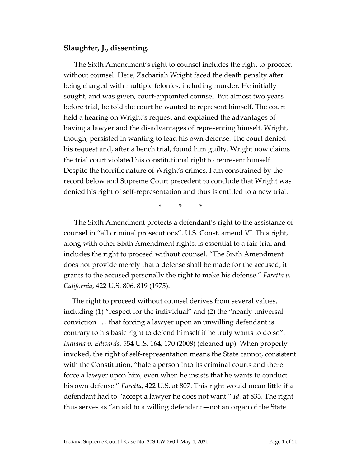#### **Slaughter, J., dissenting.**

The Sixth Amendment's right to counsel includes the right to proceed without counsel. Here, Zachariah Wright faced the death penalty after being charged with multiple felonies, including murder. He initially sought, and was given, court-appointed counsel. But almost two years before trial, he told the court he wanted to represent himself. The court held a hearing on Wright's request and explained the advantages of having a lawyer and the disadvantages of representing himself. Wright, though, persisted in wanting to lead his own defense. The court denied his request and, after a bench trial, found him guilty. Wright now claims the trial court violated his constitutional right to represent himself. Despite the horrific nature of Wright's crimes, I am constrained by the record below and Supreme Court precedent to conclude that Wright was denied his right of self-representation and thus is entitled to a new trial.

\* \* \*

The Sixth Amendment protects a defendant's right to the assistance of counsel in "all criminal prosecutions". U.S. Const. amend VI. This right, along with other Sixth Amendment rights, is essential to a fair trial and includes the right to proceed without counsel. "The Sixth Amendment does not provide merely that a defense shall be made for the accused; it grants to the accused personally the right to make his defense." *Faretta v. California*, 422 U.S. 806, 819 (1975).

The right to proceed without counsel derives from several values, including (1) "respect for the individual" and (2) the "nearly universal conviction . . . that forcing a lawyer upon an unwilling defendant is contrary to his basic right to defend himself if he truly wants to do so". *Indiana v. Edwards*, 554 U.S. 164, 170 (2008) (cleaned up). When properly invoked, the right of self-representation means the State cannot, consistent with the Constitution, "hale a person into its criminal courts and there force a lawyer upon him, even when he insists that he wants to conduct his own defense." *Faretta*, 422 U.S. at 807. This right would mean little if a defendant had to "accept a lawyer he does not want." *Id.* at 833. The right thus serves as "an aid to a willing defendant—not an organ of the State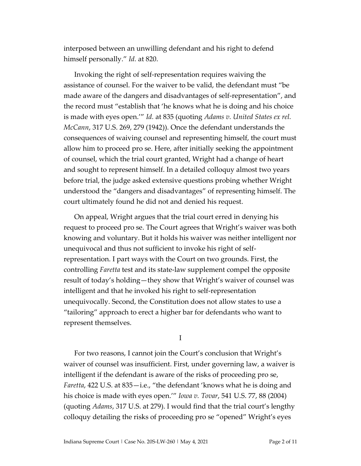interposed between an unwilling defendant and his right to defend himself personally." *Id.* at 820.

Invoking the right of self-representation requires waiving the assistance of counsel. For the waiver to be valid, the defendant must "be made aware of the dangers and disadvantages of self-representation", and the record must "establish that 'he knows what he is doing and his choice is made with eyes open.'" *Id.* at 835 (quoting *Adams v. United States ex rel. McCann*, 317 U.S. 269, 279 (1942)). Once the defendant understands the consequences of waiving counsel and representing himself, the court must allow him to proceed pro se. Here, after initially seeking the appointment of counsel, which the trial court granted, Wright had a change of heart and sought to represent himself. In a detailed colloquy almost two years before trial, the judge asked extensive questions probing whether Wright understood the "dangers and disadvantages" of representing himself. The court ultimately found he did not and denied his request.

On appeal, Wright argues that the trial court erred in denying his request to proceed pro se. The Court agrees that Wright's waiver was both knowing and voluntary. But it holds his waiver was neither intelligent nor unequivocal and thus not sufficient to invoke his right of selfrepresentation. I part ways with the Court on two grounds. First, the controlling *Faretta* test and its state-law supplement compel the opposite result of today's holding—they show that Wright's waiver of counsel was intelligent and that he invoked his right to self-representation unequivocally. Second, the Constitution does not allow states to use a "tailoring" approach to erect a higher bar for defendants who want to represent themselves.

I

For two reasons, I cannot join the Court's conclusion that Wright's waiver of counsel was insufficient. First, under governing law, a waiver is intelligent if the defendant is aware of the risks of proceeding pro se, *Faretta*, 422 U.S. at 835—i.e., "the defendant 'knows what he is doing and his choice is made with eyes open.'" *Iowa v. Tovar*, 541 U.S. 77, 88 (2004) (quoting *Adams*, 317 U.S. at 279). I would find that the trial court's lengthy colloquy detailing the risks of proceeding pro se "opened" Wright's eyes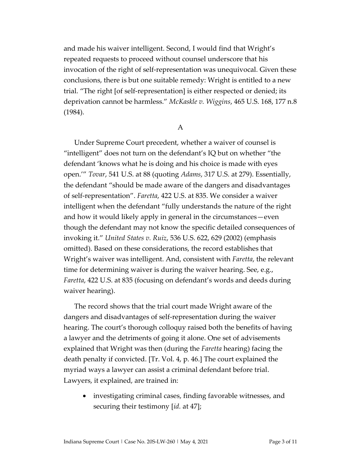and made his waiver intelligent. Second, I would find that Wright's repeated requests to proceed without counsel underscore that his invocation of the right of self-representation was unequivocal. Given these conclusions, there is but one suitable remedy: Wright is entitled to a new trial. "The right [of self-representation] is either respected or denied; its deprivation cannot be harmless." *McKaskle v. Wiggins*, 465 U.S. 168, 177 n.8 (1984).

#### A

Under Supreme Court precedent, whether a waiver of counsel is "intelligent" does not turn on the defendant's IQ but on whether "the defendant 'knows what he is doing and his choice is made with eyes open.'" *Tovar*, 541 U.S. at 88 (quoting *Adams*, 317 U.S. at 279). Essentially, the defendant "should be made aware of the dangers and disadvantages of self-representation". *Faretta*, 422 U.S. at 835. We consider a waiver intelligent when the defendant "fully understands the nature of the right and how it would likely apply in general in the circumstances—even though the defendant may not know the specific detailed consequences of invoking it." *United States v. Ruiz*, 536 U.S. 622, 629 (2002) (emphasis omitted). Based on these considerations, the record establishes that Wright's waiver was intelligent. And, consistent with *Faretta*, the relevant time for determining waiver is during the waiver hearing. See, e.g., *Faretta*, 422 U.S. at 835 (focusing on defendant's words and deeds during waiver hearing).

The record shows that the trial court made Wright aware of the dangers and disadvantages of self-representation during the waiver hearing. The court's thorough colloquy raised both the benefits of having a lawyer and the detriments of going it alone. One set of advisements explained that Wright was then (during the *Faretta* hearing) facing the death penalty if convicted. [Tr. Vol. 4, p. 46.] The court explained the myriad ways a lawyer can assist a criminal defendant before trial. Lawyers, it explained, are trained in:

• investigating criminal cases, finding favorable witnesses, and securing their testimony [*id.* at 47];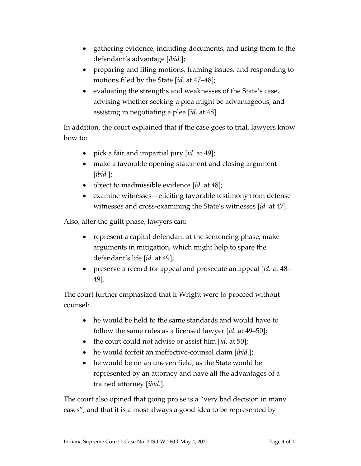- gathering evidence, including documents, and using them to the defendant's advantage [*ibid.*];
- preparing and filing motions, framing issues, and responding to motions filed by the State [*id.* at 47–48];
- evaluating the strengths and weaknesses of the State's case, advising whether seeking a plea might be advantageous, and assisting in negotiating a plea [*id.* at 48].

In addition, the court explained that if the case goes to trial, lawyers know how to:

- pick a fair and impartial jury [*id.* at 49];
- make a favorable opening statement and closing argument [*ibid.*];
- object to inadmissible evidence [*id.* at 48];
- examine witnesses—eliciting favorable testimony from defense witnesses and cross-examining the State's witnesses [*id.* at 47].

Also, after the guilt phase, lawyers can:

- represent a capital defendant at the sentencing phase, make arguments in mitigation, which might help to spare the defendant's life [*id.* at 49];
- preserve a record for appeal and prosecute an appeal [*id.* at 48– 49].

The court further emphasized that if Wright were to proceed without counsel:

- he would be held to the same standards and would have to follow the same rules as a licensed lawyer [*id.* at 49–50];
- the court could not advise or assist him [*id.* at 50];
- he would forfeit an ineffective-counsel claim [*ibid.*];
- he would be on an uneven field, as the State would be represented by an attorney and have all the advantages of a trained attorney [*ibid.*].

The court also opined that going pro se is a "very bad decision in many cases", and that it is almost always a good idea to be represented by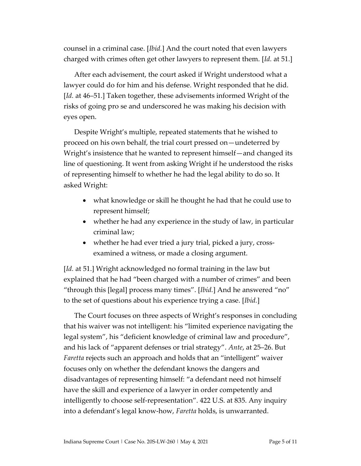counsel in a criminal case. [*Ibid.*] And the court noted that even lawyers charged with crimes often get other lawyers to represent them. [*Id.* at 51.]

After each advisement, the court asked if Wright understood what a lawyer could do for him and his defense. Wright responded that he did. [*Id.* at 46–51.] Taken together, these advisements informed Wright of the risks of going pro se and underscored he was making his decision with eyes open.

Despite Wright's multiple, repeated statements that he wished to proceed on his own behalf, the trial court pressed on—undeterred by Wright's insistence that he wanted to represent himself—and changed its line of questioning. It went from asking Wright if he understood the risks of representing himself to whether he had the legal ability to do so. It asked Wright:

- what knowledge or skill he thought he had that he could use to represent himself;
- whether he had any experience in the study of law, in particular criminal law;
- whether he had ever tried a jury trial, picked a jury, crossexamined a witness, or made a closing argument.

[*Id.* at 51.] Wright acknowledged no formal training in the law but explained that he had "been charged with a number of crimes" and been "through this [legal] process many times". [*Ibid.*] And he answered "no" to the set of questions about his experience trying a case. [*Ibid.*]

The Court focuses on three aspects of Wright's responses in concluding that his waiver was not intelligent: his "limited experience navigating the legal system", his "deficient knowledge of criminal law and procedure", and his lack of "apparent defenses or trial strategy". *Ante*, at 25–26. But *Faretta* rejects such an approach and holds that an "intelligent" waiver focuses only on whether the defendant knows the dangers and disadvantages of representing himself: "a defendant need not himself have the skill and experience of a lawyer in order competently and intelligently to choose self-representation". 422 U.S. at 835. Any inquiry into a defendant's legal know-how, *Faretta* holds, is unwarranted.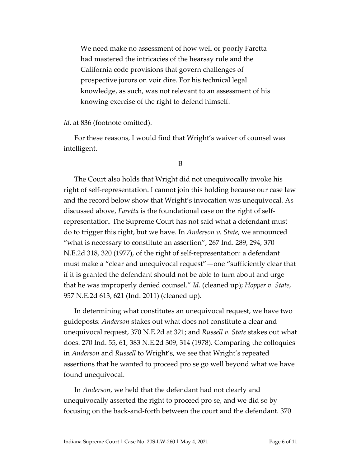We need make no assessment of how well or poorly Faretta had mastered the intricacies of the hearsay rule and the California code provisions that govern challenges of prospective jurors on voir dire. For his technical legal knowledge, as such, was not relevant to an assessment of his knowing exercise of the right to defend himself.

*Id*. at 836 (footnote omitted).

For these reasons, I would find that Wright's waiver of counsel was intelligent.

B

The Court also holds that Wright did not unequivocally invoke his right of self-representation. I cannot join this holding because our case law and the record below show that Wright's invocation was unequivocal. As discussed above, *Faretta* is the foundational case on the right of selfrepresentation. The Supreme Court has not said what a defendant must do to trigger this right, but we have. In *Anderson v. State*, we announced "what is necessary to constitute an assertion", 267 Ind. 289, 294, 370 N.E.2d 318, 320 (1977), of the right of self-representation: a defendant must make a "clear and unequivocal request"—one "sufficiently clear that if it is granted the defendant should not be able to turn about and urge that he was improperly denied counsel." *Id.* (cleaned up); *Hopper v. State*, 957 N.E.2d 613, 621 (Ind. 2011) (cleaned up).

In determining what constitutes an unequivocal request, we have two guideposts: *Anderson* stakes out what does not constitute a clear and unequivocal request, 370 N.E.2d at 321; and *Russell v. State* stakes out what does. 270 Ind. 55, 61, 383 N.E.2d 309, 314 (1978). Comparing the colloquies in *Anderson* and *Russell* to Wright's, we see that Wright's repeated assertions that he wanted to proceed pro se go well beyond what we have found unequivocal.

In *Anderson*, we held that the defendant had not clearly and unequivocally asserted the right to proceed pro se, and we did so by focusing on the back-and-forth between the court and the defendant. 370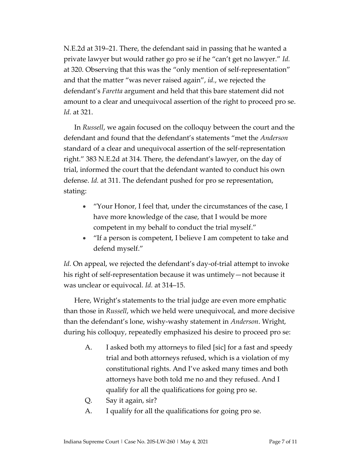N.E.2d at 319–21. There, the defendant said in passing that he wanted a private lawyer but would rather go pro se if he "can't get no lawyer." *Id.* at 320. Observing that this was the "only mention of self-representation" and that the matter "was never raised again", *id.*, we rejected the defendant's *Faretta* argument and held that this bare statement did not amount to a clear and unequivocal assertion of the right to proceed pro se. *Id.* at 321.

In *Russell*, we again focused on the colloquy between the court and the defendant and found that the defendant's statements "met the *Anderson* standard of a clear and unequivocal assertion of the self-representation right." 383 N.E.2d at 314. There, the defendant's lawyer, on the day of trial, informed the court that the defendant wanted to conduct his own defense. *Id.* at 311. The defendant pushed for pro se representation, stating:

- "Your Honor, I feel that, under the circumstances of the case, I have more knowledge of the case, that I would be more competent in my behalf to conduct the trial myself."
- "If a person is competent, I believe I am competent to take and defend myself."

*Id.* On appeal, we rejected the defendant's day-of-trial attempt to invoke his right of self-representation because it was untimely—not because it was unclear or equivocal. *Id.* at 314–15.

Here, Wright's statements to the trial judge are even more emphatic than those in *Russell*, which we held were unequivocal, and more decisive than the defendant's lone, wishy-washy statement in *Anderson*. Wright, during his colloquy, repeatedly emphasized his desire to proceed pro se:

- A. I asked both my attorneys to filed [sic] for a fast and speedy trial and both attorneys refused, which is a violation of my constitutional rights. And I've asked many times and both attorneys have both told me no and they refused. And I qualify for all the qualifications for going pro se.
- Q. Say it again, sir?
- A. I qualify for all the qualifications for going pro se.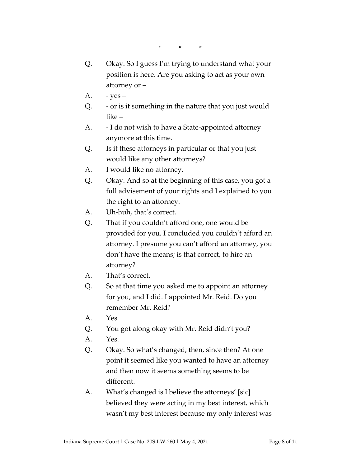\* \* \*

- Q. Okay. So I guess I'm trying to understand what your position is here. Are you asking to act as your own attorney or –
- A.  $-$  yes –
- Q. or is it something in the nature that you just would like –
- A. I do not wish to have a State-appointed attorney anymore at this time.
- Q. Is it these attorneys in particular or that you just would like any other attorneys?
- A. I would like no attorney.
- Q. Okay. And so at the beginning of this case, you got a full advisement of your rights and I explained to you the right to an attorney.
- A. Uh-huh, that's correct.
- Q. That if you couldn't afford one, one would be provided for you. I concluded you couldn't afford an attorney. I presume you can't afford an attorney, you don't have the means; is that correct, to hire an attorney?
- A. That's correct.
- Q. So at that time you asked me to appoint an attorney for you, and I did. I appointed Mr. Reid. Do you remember Mr. Reid?
- A. Yes.
- Q. You got along okay with Mr. Reid didn't you?
- A. Yes.
- Q. Okay. So what's changed, then, since then? At one point it seemed like you wanted to have an attorney and then now it seems something seems to be different.
- A. What's changed is I believe the attorneys' [sic] believed they were acting in my best interest, which wasn't my best interest because my only interest was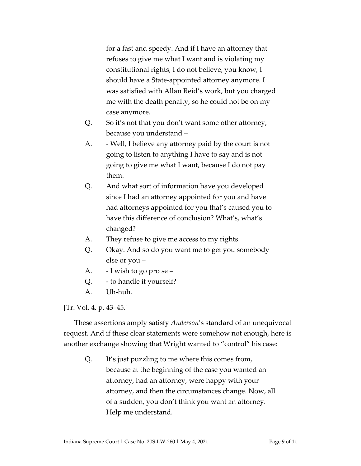for a fast and speedy. And if I have an attorney that refuses to give me what I want and is violating my constitutional rights, I do not believe, you know, I should have a State-appointed attorney anymore. I was satisfied with Allan Reid's work, but you charged me with the death penalty, so he could not be on my case anymore.

- Q. So it's not that you don't want some other attorney, because you understand –
- A. Well, I believe any attorney paid by the court is not going to listen to anything I have to say and is not going to give me what I want, because I do not pay them.
- Q. And what sort of information have you developed since I had an attorney appointed for you and have had attorneys appointed for you that's caused you to have this difference of conclusion? What's, what's changed?
- A. They refuse to give me access to my rights.
- Q. Okay. And so do you want me to get you somebody else or you –
- A. I wish to go pro se –
- Q. to handle it yourself?
- A. Uh-huh.

[Tr. Vol. 4, p. 43–45.]

These assertions amply satisfy *Anderson*'s standard of an unequivocal request. And if these clear statements were somehow not enough, here is another exchange showing that Wright wanted to "control" his case:

Q. It's just puzzling to me where this comes from, because at the beginning of the case you wanted an attorney, had an attorney, were happy with your attorney, and then the circumstances change. Now, all of a sudden, you don't think you want an attorney. Help me understand.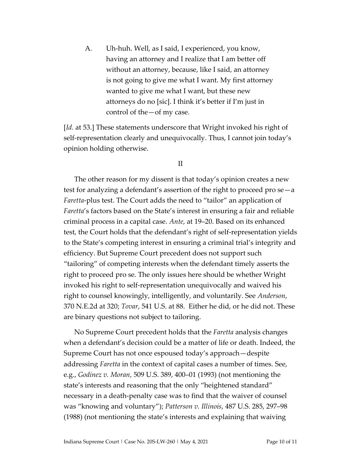A. Uh-huh. Well, as I said, I experienced, you know, having an attorney and I realize that I am better off without an attorney, because, like I said, an attorney is not going to give me what I want. My first attorney wanted to give me what I want, but these new attorneys do no [sic]. I think it's better if I'm just in control of the—of my case.

[*Id.* at 53.] These statements underscore that Wright invoked his right of self-representation clearly and unequivocally. Thus, I cannot join today's opinion holding otherwise.

II

The other reason for my dissent is that today's opinion creates a new test for analyzing a defendant's assertion of the right to proceed pro se—a *Faretta*-plus test. The Court adds the need to "tailor" an application of *Faretta*'s factors based on the State's interest in ensuring a fair and reliable criminal process in a capital case. *Ante*, at 19–20. Based on its enhanced test, the Court holds that the defendant's right of self-representation yields to the State's competing interest in ensuring a criminal trial's integrity and efficiency. But Supreme Court precedent does not support such "tailoring" of competing interests when the defendant timely asserts the right to proceed pro se. The only issues here should be whether Wright invoked his right to self-representation unequivocally and waived his right to counsel knowingly, intelligently, and voluntarily. See *Anderson*, 370 N.E.2d at 320; *Tovar*, 541 U.S. at 88. Either he did, or he did not. These are binary questions not subject to tailoring.

No Supreme Court precedent holds that the *Faretta* analysis changes when a defendant's decision could be a matter of life or death. Indeed, the Supreme Court has not once espoused today's approach—despite addressing *Faretta* in the context of capital cases a number of times. See, e.g., *Godinez v. Moran*, 509 U.S. 389, 400–01 (1993) (not mentioning the state's interests and reasoning that the only "heightened standard" necessary in a death-penalty case was to find that the waiver of counsel was "knowing and voluntary"); *Patterson v. Illinois*, 487 U.S. 285, 297–98 (1988) (not mentioning the state's interests and explaining that waiving